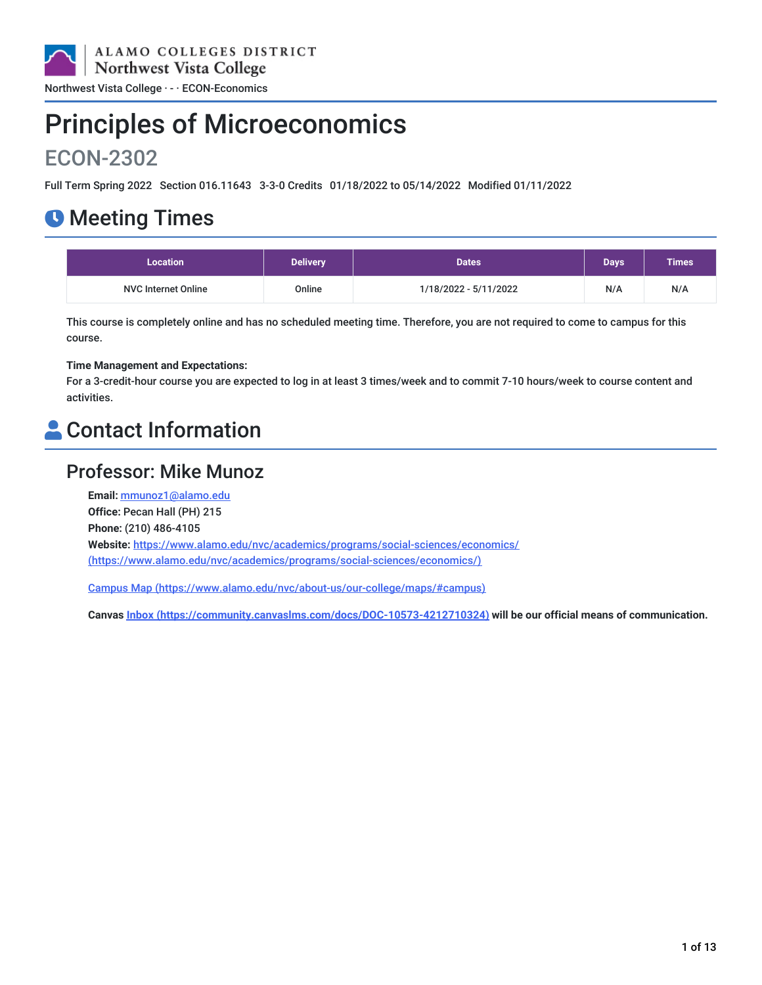

# Principles of Microeconomics

## ECON-2302

Full Term Spring 2022 Section 016.11643 3-3-0 Credits 01/18/2022 to 05/14/2022 Modified 01/11/2022

## **O** Meeting Times

| <b>Location</b>            | <b>Delivery</b> | <b>Dates</b>          | <b>Days</b> | <b>Times</b> |
|----------------------------|-----------------|-----------------------|-------------|--------------|
| <b>NVC Internet Online</b> | Online          | 1/18/2022 - 5/11/2022 | N/A         | N/A          |

This course is completely online and has no scheduled meeting time. Therefore, you are not required to come to campus for this course.

### **Time Management and Expectations:**

For a 3-credit-hour course you are expected to log in at least 3 times/week and to commit 7-10 hours/week to course content and activities.

## **A** Contact Information

### Professor: Mike Munoz

**Email:** [mmunoz1@alamo.edu](mailto:mmunoz1@alamo.edu) **Office:** Pecan Hall (PH) 215 **Phone:** (210) 486-4105 **Website:** https://www.alamo.edu/nvc/academics/programs/social-sciences/economics/ [\(https://www.alamo.edu/nvc/academics/programs/social-sciences/economics/\)](https://www.alamo.edu/nvc/academics/programs/social-sciences/economics/)

Campus Map [\(https://www.alamo.edu/nvc/about-us/our-college/maps/#campus\)](https://www.alamo.edu/nvc/about-us/our-college/maps/#campus)

**Canvas Inbox [\(https://community.canvaslms.com/docs/DOC-10573-4212710324\)](https://community.canvaslms.com/docs/DOC-10573-4212710324) will be our official means of communication.**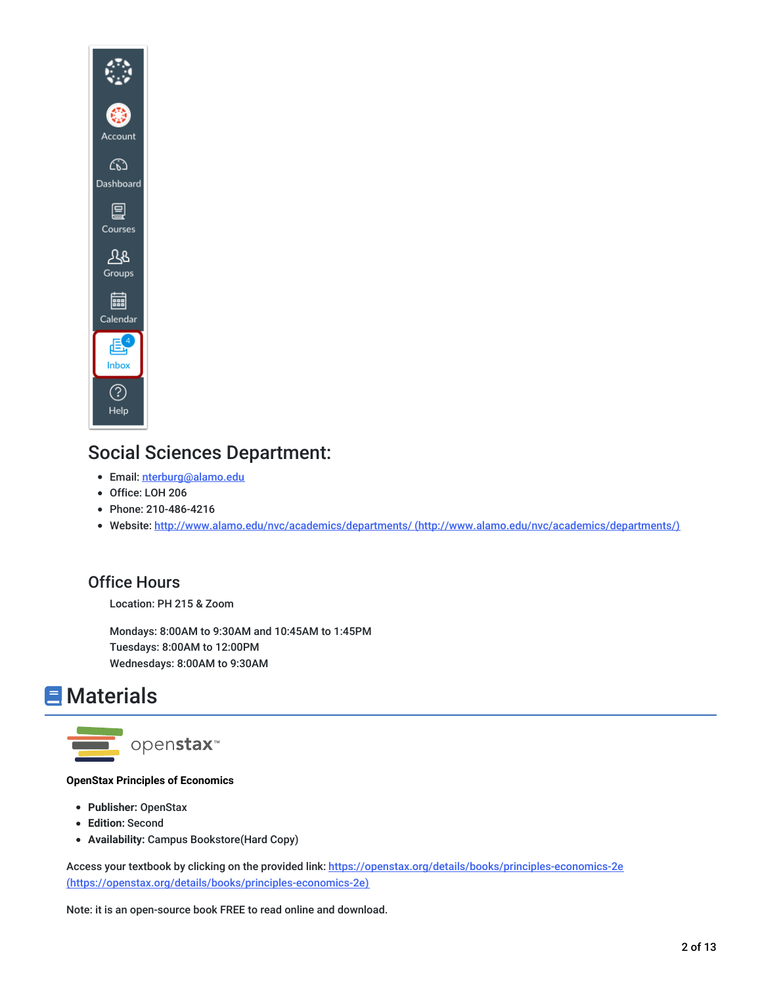

### Social Sciences Department:

- Email: [nterburg@alamo.edu](mailto:nterburg@alamo.edu)
- Office: LOH 206
- Phone: 210-486-4216
- Website: http://www.alamo.edu/nvc/academics/departments/ [\(http://www.alamo.edu/nvc/academics/departments/\)](http://www.alamo.edu/nvc/academics/departments/)

### Office Hours

Location: PH 215 & Zoom

Mondays: 8:00AM to 9:30AM and 10:45AM to 1:45PM Tuesdays: 8:00AM to 12:00PM Wednesdays: 8:00AM to 9:30AM

## **E** Materials



### **OpenStax Principles of Economics**

- **Publisher:** OpenStax
- **Edition:** Second
- **Availability:** Campus Bookstore(Hard Copy)

Access your textbook by clicking on the provided link: https://openstax.org/details/books/principles-economics-2e [\(https://openstax.org/details/books/principles-economics-2e\)](https://openstax.org/details/books/principles-economics-2e)

Note: it is an open-source book FREE to read online and download.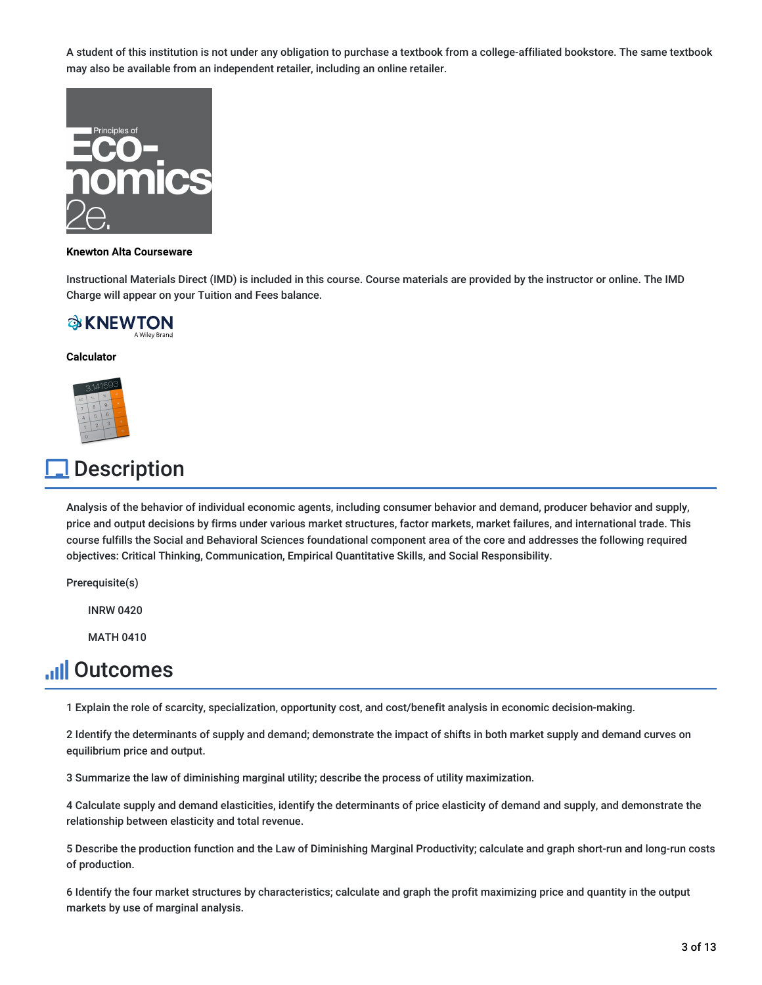A student of this institution is not under any obligation to purchase a textbook from a college-affiliated bookstore. The same textbook may also be available from an independent retailer, including an online retailer.



#### **Knewton Alta Courseware**

Instructional Materials Direct (IMD) is included in this course. Course materials are provided by the instructor or online. The IMD Charge will appear on your Tuition and Fees balance.



#### **Calculator**



## **Description**

Analysis of the behavior of individual economic agents, including consumer behavior and demand, producer behavior and supply, price and output decisions by firms under various market structures, factor markets, market failures, and international trade. This course fulfills the Social and Behavioral Sciences foundational component area of the core and addresses the following required objectives: Critical Thinking, Communication, Empirical Quantitative Skills, and Social Responsibility.

Prerequisite(s)

INRW 0420

MATH 0410

## **Juli Outcomes**

1 Explain the role of scarcity, specialization, opportunity cost, and cost/benefit analysis in economic decision-making.

2 Identify the determinants of supply and demand; demonstrate the impact of shifts in both market supply and demand curves on equilibrium price and output.

3 Summarize the law of diminishing marginal utility; describe the process of utility maximization.

4 Calculate supply and demand elasticities, identify the determinants of price elasticity of demand and supply, and demonstrate the relationship between elasticity and total revenue.

5 Describe the production function and the Law of Diminishing Marginal Productivity; calculate and graph short-run and long-run costs of production.

6 Identify the four market structures by characteristics; calculate and graph the profit maximizing price and quantity in the output markets by use of marginal analysis.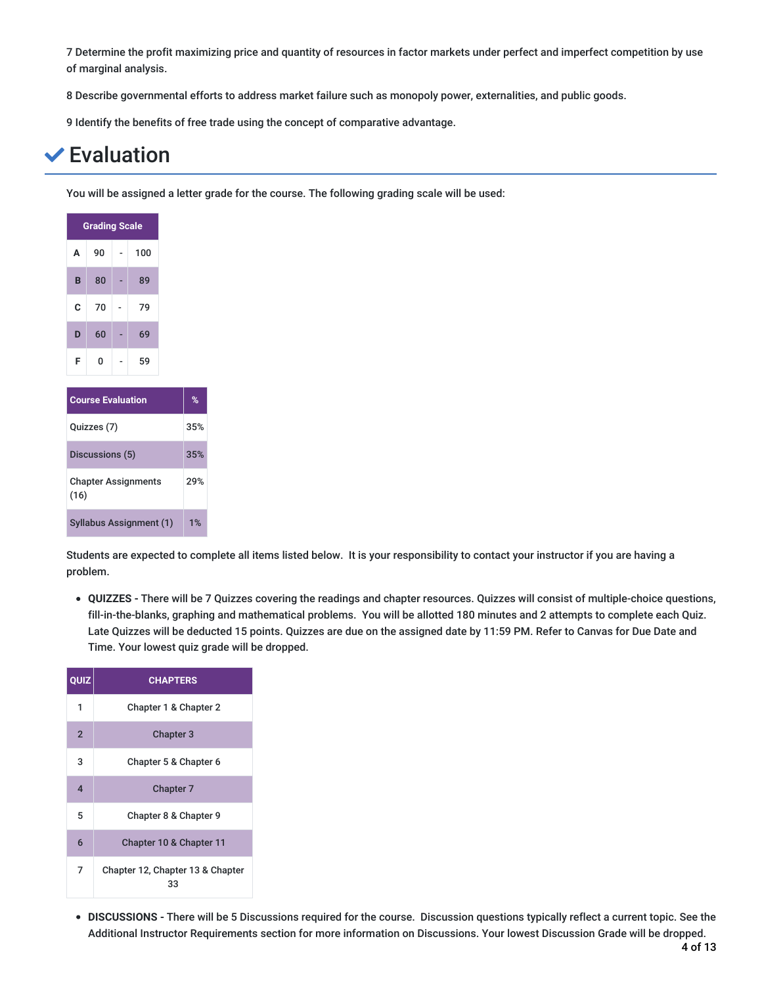7 Determine the profit maximizing price and quantity of resources in factor markets under perfect and imperfect competition by use of marginal analysis.

8 Describe governmental efforts to address market failure such as monopoly power, externalities, and public goods.

9 Identify the benefits of free trade using the concept of comparative advantage.

## Evaluation

You will be assigned a letter grade for the course. The following grading scale will be used:

| <b>Grading Scale</b>                      |    |  |     |     |  |
|-------------------------------------------|----|--|-----|-----|--|
| А                                         | 90 |  | 100 |     |  |
| B                                         | 80 |  | 89  |     |  |
| C                                         | 70 |  | 79  |     |  |
| D                                         | 60 |  | 69  |     |  |
| F                                         | 0  |  | 59  |     |  |
|                                           |    |  |     |     |  |
| <b>Course Evaluation</b>                  | %  |  |     |     |  |
| Quizzes (7)                               |    |  |     | 35% |  |
| Discussions (5)                           |    |  |     | 35% |  |
| <b>Chapter Assignments</b><br>29%<br>(16) |    |  |     |     |  |

Syllabus Assignment (1) 1%

Students are expected to complete all items listed below. It is your responsibility to contact your instructor if you are having a problem.

**QUIZZES -** There will be 7 Quizzes covering the readings and chapter resources. Quizzes will consist of multiple-choice questions, fill-in-the-blanks, graphing and mathematical problems. You will be allotted 180 minutes and 2 attempts to complete each Quiz. Late Quizzes will be deducted 15 points. Quizzes are due on the assigned date by 11:59 PM. Refer to Canvas for Due Date and Time. Your lowest quiz grade will be dropped.

| QUIZ                    | <b>CHAPTERS</b>                        |
|-------------------------|----------------------------------------|
| 1                       | Chapter 1 & Chapter 2                  |
| $\overline{2}$          | <b>Chapter 3</b>                       |
| 3                       | Chapter 5 & Chapter 6                  |
| $\overline{\mathbf{A}}$ | <b>Chapter 7</b>                       |
| 5                       | Chapter 8 & Chapter 9                  |
| 6                       | Chapter 10 & Chapter 11                |
| 7                       | Chapter 12, Chapter 13 & Chapter<br>33 |

**DISCUSSIONS -** There will be 5 Discussions required for the course. Discussion questions typically reflect a current topic. See the Additional Instructor Requirements section for more information on Discussions. Your lowest Discussion Grade will be dropped.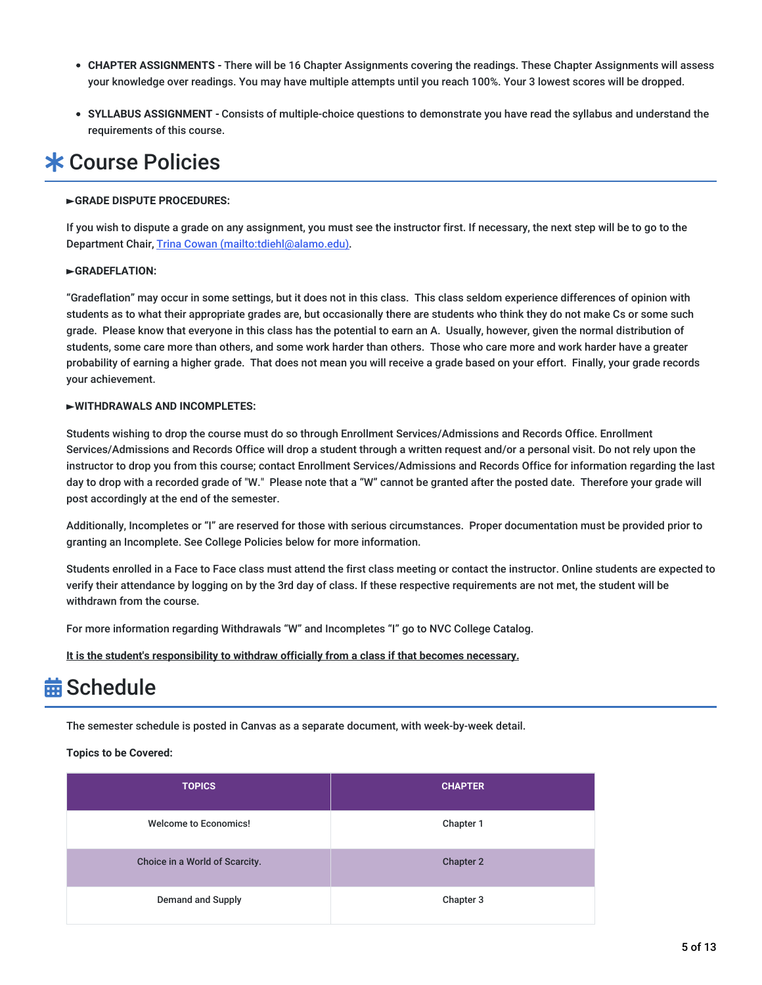- **CHAPTER ASSIGNMENTS -** There will be 16 Chapter Assignments covering the readings. These Chapter Assignments will assess your knowledge over readings. You may have multiple attempts until you reach 100%. Your 3 lowest scores will be dropped.
- **SYLLABUS ASSIGNMENT -** Consists of multiple-choice questions to demonstrate you have read the syllabus and understand the requirements of this course.

## **\* Course Policies**

### **►GRADE DISPUTE PROCEDURES:**

If you wish to dispute a grade on any assignment, you must see the instructor first. If necessary, the next step will be to go to the Department Chair, Trina Cowan [\(mailto:tdiehl@alamo.edu\)](mailto:tdiehl@alamo.edu).

### **►GRADEFLATION:**

"Gradeflation" may occur in some settings, but it does not in this class. This class seldom experience differences of opinion with students as to what their appropriate grades are, but occasionally there are students who think they do not make Cs or some such grade. Please know that everyone in this class has the potential to earn an A. Usually, however, given the normal distribution of students, some care more than others, and some work harder than others. Those who care more and work harder have a greater probability of earning a higher grade. That does not mean you will receive a grade based on your effort. Finally, your grade records your achievement.

### **►WITHDRAWALS AND INCOMPLETES:**

Students wishing to drop the course must do so through Enrollment Services/Admissions and Records Office. Enrollment Services/Admissions and Records Office will drop a student through a written request and/or a personal visit. Do not rely upon the instructor to drop you from this course; contact Enrollment Services/Admissions and Records Office for information regarding the last day to drop with a recorded grade of "W." Please note that a "W" cannot be granted after the posted date. Therefore your grade will post accordingly at the end of the semester.

Additionally, Incompletes or "I" are reserved for those with serious circumstances. Proper documentation must be provided prior to granting an Incomplete. See College Policies below for more information.

Students enrolled in a Face to Face class must attend the first class meeting or contact the instructor. Online students are expected to verify their attendance by logging on by the 3rd day of class. If these respective requirements are not met, the student will be withdrawn from the course.

For more information regarding Withdrawals "W" and Incompletes "I" go to NVC College Catalog.

**It is the student's responsibility to withdraw officially from a class if that becomes necessary.**

## **益 Schedule**

The semester schedule is posted in Canvas as a separate document, with week-by-week detail.

**Topics to be Covered:**

| <b>TOPICS</b>                  | <b>CHAPTER</b>   |
|--------------------------------|------------------|
| <b>Welcome to Economics!</b>   | Chapter 1        |
| Choice in a World of Scarcity. | <b>Chapter 2</b> |
| <b>Demand and Supply</b>       | Chapter 3        |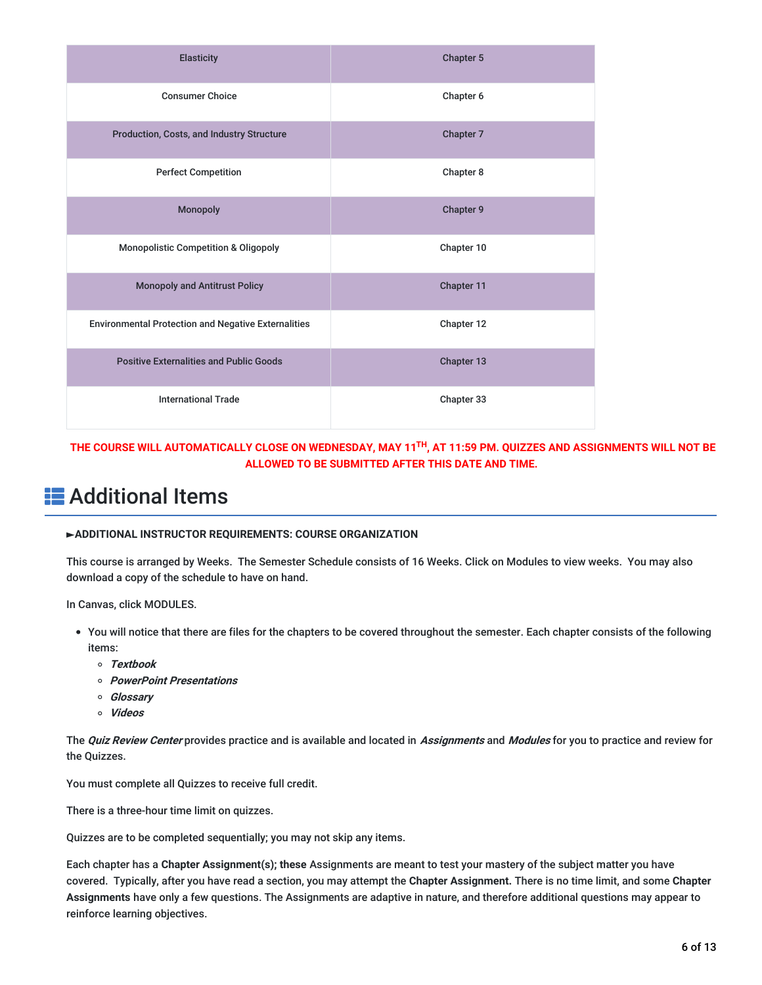| <b>Elasticity</b>                                          | Chapter 5  |
|------------------------------------------------------------|------------|
| <b>Consumer Choice</b>                                     | Chapter 6  |
| Production, Costs, and Industry Structure                  | Chapter 7  |
| <b>Perfect Competition</b>                                 | Chapter 8  |
| Monopoly                                                   | Chapter 9  |
| <b>Monopolistic Competition &amp; Oligopoly</b>            | Chapter 10 |
| <b>Monopoly and Antitrust Policy</b>                       | Chapter 11 |
| <b>Environmental Protection and Negative Externalities</b> | Chapter 12 |
| <b>Positive Externalities and Public Goods</b>             | Chapter 13 |
| <b>International Trade</b>                                 | Chapter 33 |

THE COURSE WILL AUTOMATICALLY CLOSE ON WEDNESDAY, MAY 11<sup>TH</sup>, AT 11:59 PM. QUIZZES AND ASSIGNMENTS WILL NOT BE **ALLOWED TO BE SUBMITTED AFTER THIS DATE AND TIME.**

## **E** Additional Items

### **►ADDITIONAL INSTRUCTOR REQUIREMENTS: COURSE ORGANIZATION**

This course is arranged by Weeks. The Semester Schedule consists of 16 Weeks. Click on Modules to view weeks. You may also download a copy of the schedule to have on hand.

In Canvas, click MODULES.

- You will notice that there are files for the chapters to be covered throughout the semester. Each chapter consists of the following items:
	- **Textbook**
	- **PowerPoint Presentations**
	- **Glossary**
	- **Videos**

The **Quiz Review Center** provides practice and is available and located in **Assignments** and **Modules** for you to practice and review for the Quizzes.

You must complete all Quizzes to receive full credit.

There is a three-hour time limit on quizzes.

Quizzes are to be completed sequentially; you may not skip any items.

Each chapter has a **Chapter Assignment(s); these** Assignments are meant to test your mastery of the subject matter you have covered. Typically, after you have read a section, you may attempt the **Chapter Assignment.** There is no time limit, and some **Chapter Assignments** have only a few questions. The Assignments are adaptive in nature, and therefore additional questions may appear to reinforce learning objectives.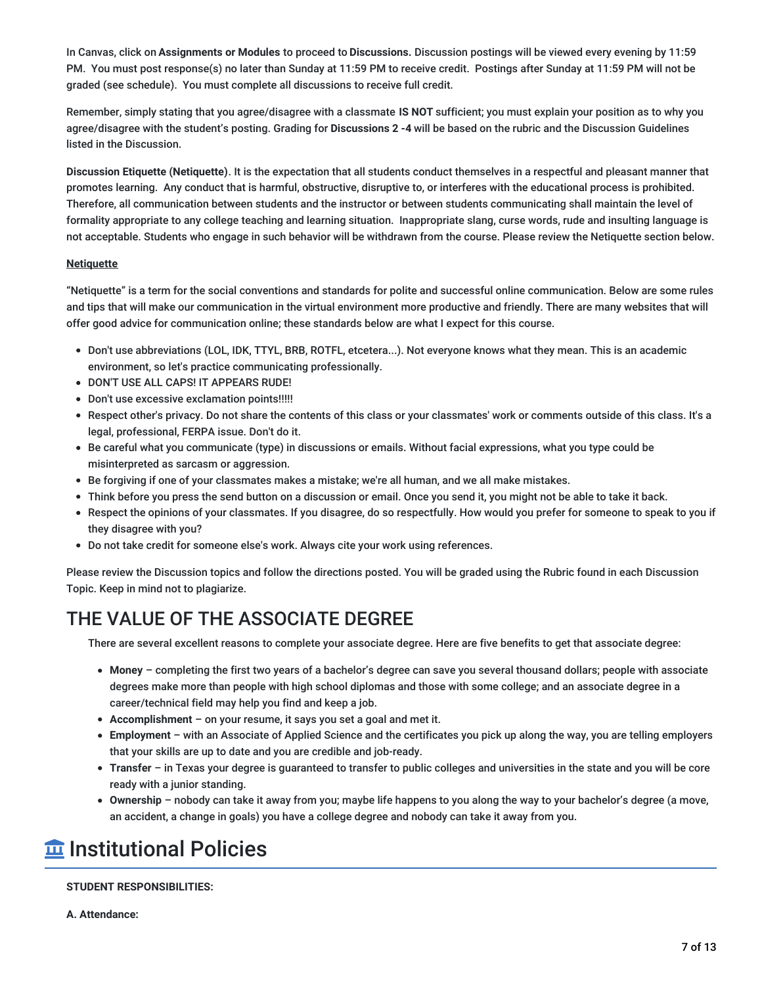In Canvas, click on **Assignments or Modules** to proceed to **Discussions.** Discussion postings will be viewed every evening by 11:59 PM. You must post response(s) no later than Sunday at 11:59 PM to receive credit. Postings after Sunday at 11:59 PM will not be graded (see schedule). You must complete all discussions to receive full credit.

Remember, simply stating that you agree/disagree with a classmate **IS NOT** sufficient; you must explain your position as to why you agree/disagree with the student's posting. Grading for **Discussions 2 -4** will be based on the rubric and the Discussion Guidelines listed in the Discussion.

**Discussion Etiquette (Netiquette)**. It is the expectation that all students conduct themselves in a respectful and pleasant manner that promotes learning. Any conduct that is harmful, obstructive, disruptive to, or interferes with the educational process is prohibited. Therefore, all communication between students and the instructor or between students communicating shall maintain the level of formality appropriate to any college teaching and learning situation. Inappropriate slang, curse words, rude and insulting language is not acceptable. Students who engage in such behavior will be withdrawn from the course. Please review the Netiquette section below.

### **Netiquette**

"Netiquette" is a term for the social conventions and standards for polite and successful online communication. Below are some rules and tips that will make our communication in the virtual environment more productive and friendly. There are many websites that will offer good advice for communication online; these standards below are what I expect for this course.

- Don't use abbreviations (LOL, IDK, TTYL, BRB, ROTFL, etcetera...). Not everyone knows what they mean. This is an academic environment, so let's practice communicating professionally.
- DON'T USE ALL CAPS! IT APPEARS RUDE!
- Don't use excessive exclamation points!!!!!
- Respect other's privacy. Do not share the contents of this class or your classmates' work or comments outside of this class. It's a legal, professional, FERPA issue. Don't do it.
- Be careful what you communicate (type) in discussions or emails. Without facial expressions, what you type could be misinterpreted as sarcasm or aggression.
- Be forgiving if one of your classmates makes a mistake; we're all human, and we all make mistakes.
- Think before you press the send button on a discussion or email. Once you send it, you might not be able to take it back.
- Respect the opinions of your classmates. If you disagree, do so respectfully. How would you prefer for someone to speak to you if they disagree with you?
- Do not take credit for someone else's work. Always cite your work using references.

Please review the Discussion topics and follow the directions posted. You will be graded using the Rubric found in each Discussion Topic. Keep in mind not to plagiarize.

## THE VALUE OF THE ASSOCIATE DEGREE

There are several excellent reasons to complete your associate degree. Here are five benefits to get that associate degree:

- **Money** completing the first two years of a bachelor's degree can save you several thousand dollars; people with associate degrees make more than people with high school diplomas and those with some college; and an associate degree in a career/technical field may help you find and keep a job.
- **Accomplishment** on your resume, it says you set a goal and met it.
- **Employment** with an Associate of Applied Science and the certificates you pick up along the way, you are telling employers that your skills are up to date and you are credible and job-ready.
- **Transfer** in Texas your degree is guaranteed to transfer to public colleges and universities in the state and you will be core ready with a junior standing.
- **Ownership** nobody can take it away from you; maybe life happens to you along the way to your bachelor's degree (a move, an accident, a change in goals) you have a college degree and nobody can take it away from you.

## **Institutional Policies**

### **STUDENT RESPONSIBILITIES:**

**A. Attendance:**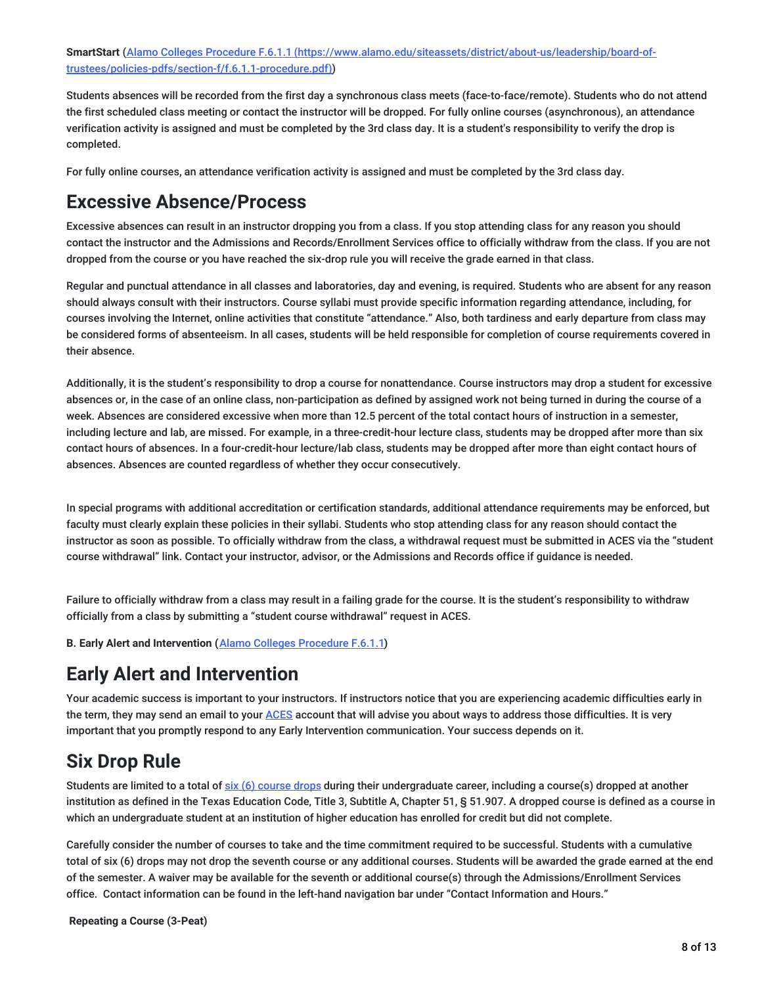**SmartStart** (Alamo Colleges Procedure F.6.1.1 [\(https://www.alamo.edu/siteassets/district/about-us/leadership/board-of](https://www.alamo.edu/siteassets/district/about-us/leadership/board-of-trustees/policies-pdfs/section-f/f.6.1.1-procedure.pdf)trustees/policies-pdfs/section-f/f.6.1.1-procedure.pdf))

Students absences will be recorded from the first day a synchronous class meets (face-to-face/remote). Students who do not attend the first scheduled class meeting or contact the instructor will be dropped. For fully online courses (asynchronous), an attendance verification activity is assigned and must be completed by the 3rd class day. It is a student's responsibility to verify the drop is completed.

For fully online courses, an attendance verification activity is assigned and must be completed by the 3rd class day.

### **Excessive Absence/Process**

Excessive absences can result in an instructor dropping you from a class. If you stop attending class for any reason you should contact the instructor and the Admissions and Records/Enrollment Services office to officially withdraw from the class. If you are not dropped from the course or you have reached the six-drop rule you will receive the grade earned in that class.

Regular and punctual attendance in all classes and laboratories, day and evening, is required. Students who are absent for any reason should always consult with their instructors. Course syllabi must provide specific information regarding attendance, including, for courses involving the Internet, online activities that constitute "attendance." Also, both tardiness and early departure from class may be considered forms of absenteeism. In all cases, students will be held responsible for completion of course requirements covered in their absence.

Additionally, it is the student's responsibility to drop a course for nonattendance. Course instructors may drop a student for excessive absences or, in the case of an online class, non-participation as defined by assigned work not being turned in during the course of a week. Absences are considered excessive when more than 12.5 percent of the total contact hours of instruction in a semester, including lecture and lab, are missed. For example, in a three-credit-hour lecture class, students may be dropped after more than six contact hours of absences. In a four-credit-hour lecture/lab class, students may be dropped after more than eight contact hours of absences. Absences are counted regardless of whether they occur consecutively.

In special programs with additional accreditation or certification standards, additional attendance requirements may be enforced, but faculty must clearly explain these policies in their syllabi. Students who stop attending class for any reason should contact the instructor as soon as possible. To officially withdraw from the class, a withdrawal request must be submitted in ACES via the "student course withdrawal" link. Contact your instructor, advisor, or the Admissions and Records office if guidance is needed.

Failure to officially withdraw from a class may result in a failing grade for the course. It is the student's responsibility to withdraw officially from a class by submitting a "student course withdrawal" request in ACES.

**B. Early Alert and Intervention (**Alamo Colleges [Procedure](https://www.alamo.edu/siteassets/district/about-us/leadership/board-of-trustees/policies-pdfs/section-f/f.6.1.1-procedure.pdf) F.6.1.1**)**

### **Early Alert and Intervention**

Your academic success is important to your instructors. If instructors notice that you are experiencing academic difficulties early in the term, they may send an email to your [ACES](https://alamoaces.alamo.edu/) account that will advise you about ways to address those difficulties. It is very important that you promptly respond to any Early Intervention communication. Your success depends on it.

### **Six Drop Rule**

Students are limited to a total of six (6) [course](https://myspccatalog.alamo.edu/content.php?catoid=220&navoid=15930#Six_Course_Drop_Ruling) drops during their undergraduate career, including a course(s) dropped at another institution as defined in the Texas Education Code, Title 3, Subtitle A, Chapter 51, § 51.907. A dropped course is defined as a course in which an undergraduate student at an institution of higher education has enrolled for credit but did not complete.

Carefully consider the number of courses to take and the time commitment required to be successful. Students with a cumulative total of six (6) drops may not drop the seventh course or any additional courses. Students will be awarded the grade earned at the end of the semester. A waiver may be available for the seventh or additional course(s) through the Admissions/Enrollment Services office. Contact information can be found in the left-hand navigation bar under "Contact Information and Hours."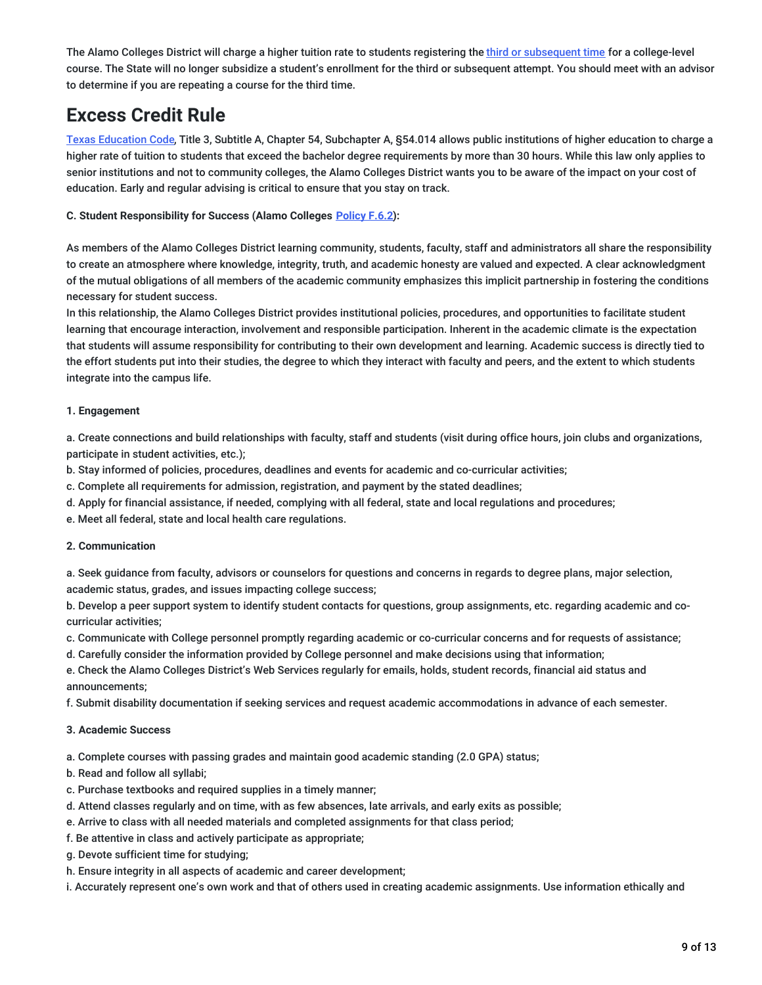The Alamo Colleges District will charge a higher tuition rate to students registering the third or [subsequent](https://myspccatalog.alamo.edu/content.php?catoid=220&navoid=15930#Three-Peat__Third-Attempt__Enrollment_Ruling) time for a college-level course. The State will no longer subsidize a student's enrollment for the third or subsequent attempt. You should meet with an advisor to determine if you are repeating a course for the third time.

### **Excess Credit Rule**

Texas [Education](http://www.thecb.state.tx.us/GeneralPubs/Agenda/Ag2005_10/VIE/VIEA1.pdf) Code, Title 3, Subtitle A, Chapter 54, Subchapter A, §54.014 allows public institutions of higher education to charge a higher rate of tuition to students that exceed the bachelor degree requirements by more than 30 hours. While this law only applies to senior institutions and not to community colleges, the Alamo Colleges District wants you to be aware of the impact on your cost of education. Early and regular advising is critical to ensure that you stay on track.

### **C. Student Responsibility for Success (Alamo Colleges [Policy](https://www.alamo.edu/link/845f7dc97d0e4b3c8ed7b453f1f0c729.aspx) F.6.2):**

As members of the Alamo Colleges District learning community, students, faculty, staff and administrators all share the responsibility to create an atmosphere where knowledge, integrity, truth, and academic honesty are valued and expected. A clear acknowledgment of the mutual obligations of all members of the academic community emphasizes this implicit partnership in fostering the conditions necessary for student success.

In this relationship, the Alamo Colleges District provides institutional policies, procedures, and opportunities to facilitate student learning that encourage interaction, involvement and responsible participation. Inherent in the academic climate is the expectation that students will assume responsibility for contributing to their own development and learning. Academic success is directly tied to the effort students put into their studies, the degree to which they interact with faculty and peers, and the extent to which students integrate into the campus life.

### **1. Engagement**

a. Create connections and build relationships with faculty, staff and students (visit during office hours, join clubs and organizations, participate in student activities, etc.);

b. Stay informed of policies, procedures, deadlines and events for academic and co-curricular activities;

c. Complete all requirements for admission, registration, and payment by the stated deadlines;

d. Apply for financial assistance, if needed, complying with all federal, state and local regulations and procedures;

e. Meet all federal, state and local health care regulations.

### **2. Communication**

a. Seek guidance from faculty, advisors or counselors for questions and concerns in regards to degree plans, major selection, academic status, grades, and issues impacting college success;

b. Develop a peer support system to identify student contacts for questions, group assignments, etc. regarding academic and cocurricular activities;

c. Communicate with College personnel promptly regarding academic or co-curricular concerns and for requests of assistance;

d. Carefully consider the information provided by College personnel and make decisions using that information;

e. Check the Alamo Colleges District's Web Services regularly for emails, holds, student records, financial aid status and announcements;

f. Submit disability documentation if seeking services and request academic accommodations in advance of each semester.

### **3. Academic Success**

a. Complete courses with passing grades and maintain good academic standing (2.0 GPA) status;

- b. Read and follow all syllabi;
- c. Purchase textbooks and required supplies in a timely manner;
- d. Attend classes regularly and on time, with as few absences, late arrivals, and early exits as possible;
- e. Arrive to class with all needed materials and completed assignments for that class period;
- f. Be attentive in class and actively participate as appropriate;
- g. Devote sufficient time for studying;
- h. Ensure integrity in all aspects of academic and career development;

i. Accurately represent one's own work and that of others used in creating academic assignments. Use information ethically and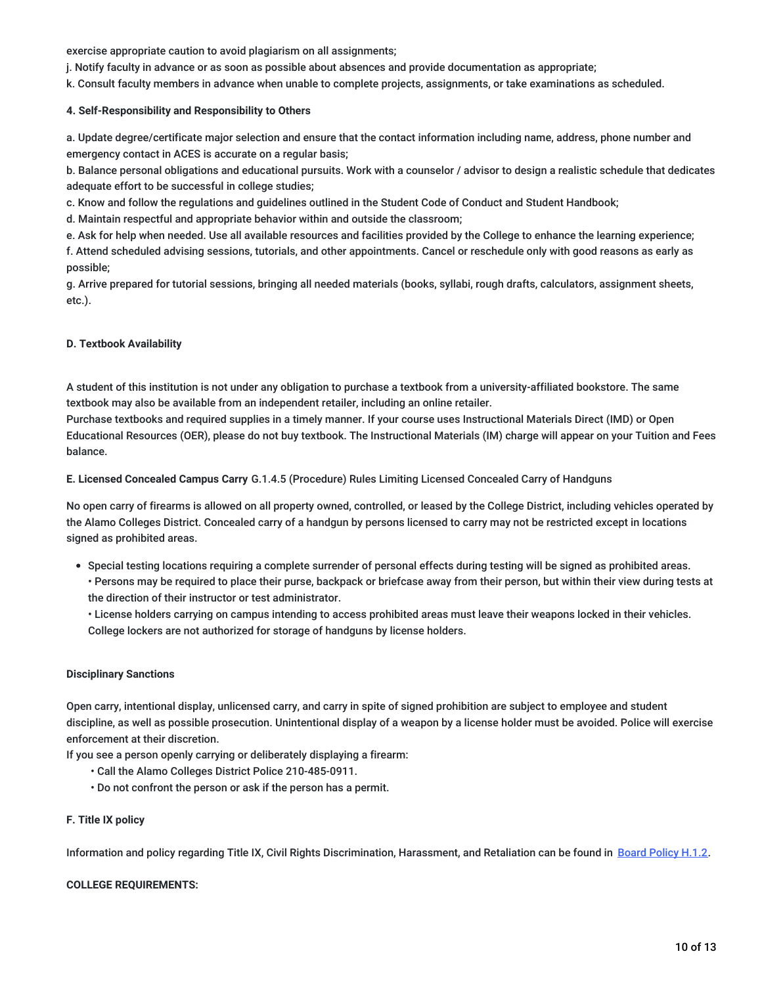exercise appropriate caution to avoid plagiarism on all assignments;

j. Notify faculty in advance or as soon as possible about absences and provide documentation as appropriate;

k. Consult faculty members in advance when unable to complete projects, assignments, or take examinations as scheduled.

#### **4. Self-Responsibility and Responsibility to Others**

a. Update degree/certificate major selection and ensure that the contact information including name, address, phone number and emergency contact in ACES is accurate on a regular basis;

b. Balance personal obligations and educational pursuits. Work with a counselor / advisor to design a realistic schedule that dedicates adequate effort to be successful in college studies;

c. Know and follow the regulations and guidelines outlined in the Student Code of Conduct and Student Handbook;

d. Maintain respectful and appropriate behavior within and outside the classroom;

e. Ask for help when needed. Use all available resources and facilities provided by the College to enhance the learning experience;

f. Attend scheduled advising sessions, tutorials, and other appointments. Cancel or reschedule only with good reasons as early as possible;

g. Arrive prepared for tutorial sessions, bringing all needed materials (books, syllabi, rough drafts, calculators, assignment sheets, etc.).

#### **D. Textbook Availability**

A student of this institution is not under any obligation to purchase a textbook from a university-affiliated bookstore. The same textbook may also be available from an independent retailer, including an online retailer.

Purchase textbooks and required supplies in a timely manner. If your course uses Instructional Materials Direct (IMD) or Open Educational Resources (OER), please do not buy textbook. The Instructional Materials (IM) charge will appear on your Tuition and Fees balance.

**E. Licensed Concealed Campus Carry** G.1.4.5 (Procedure) Rules Limiting Licensed Concealed Carry of Handguns

No open carry of firearms is allowed on all property owned, controlled, or leased by the College District, including vehicles operated by the Alamo Colleges District. Concealed carry of a handgun by persons licensed to carry may not be restricted except in locations signed as prohibited areas.

Special testing locations requiring a complete surrender of personal effects during testing will be signed as prohibited areas.

• Persons may be required to place their purse, backpack or briefcase away from their person, but within their view during tests at the direction of their instructor or test administrator.

• License holders carrying on campus intending to access prohibited areas must leave their weapons locked in their vehicles. College lockers are not authorized for storage of handguns by license holders.

### **Disciplinary Sanctions**

Open carry, intentional display, unlicensed carry, and carry in spite of signed prohibition are subject to employee and student discipline, as well as possible prosecution. Unintentional display of a weapon by a license holder must be avoided. Police will exercise enforcement at their discretion.

If you see a person openly carrying or deliberately displaying a firearm:

- Call the Alamo Colleges District Police 210-485-0911.
- Do not confront the person or ask if the person has a permit.

### **F. Title IX policy**

Information and policy regarding Title IX, Civil Rights Discrimination, Harassment, and Retaliation can be found in Board [Policy](https://www.alamo.edu/link/bddbd6057f27474b8207b6dbcf9741e3.aspx) H.1.2.

#### **COLLEGE REQUIREMENTS:**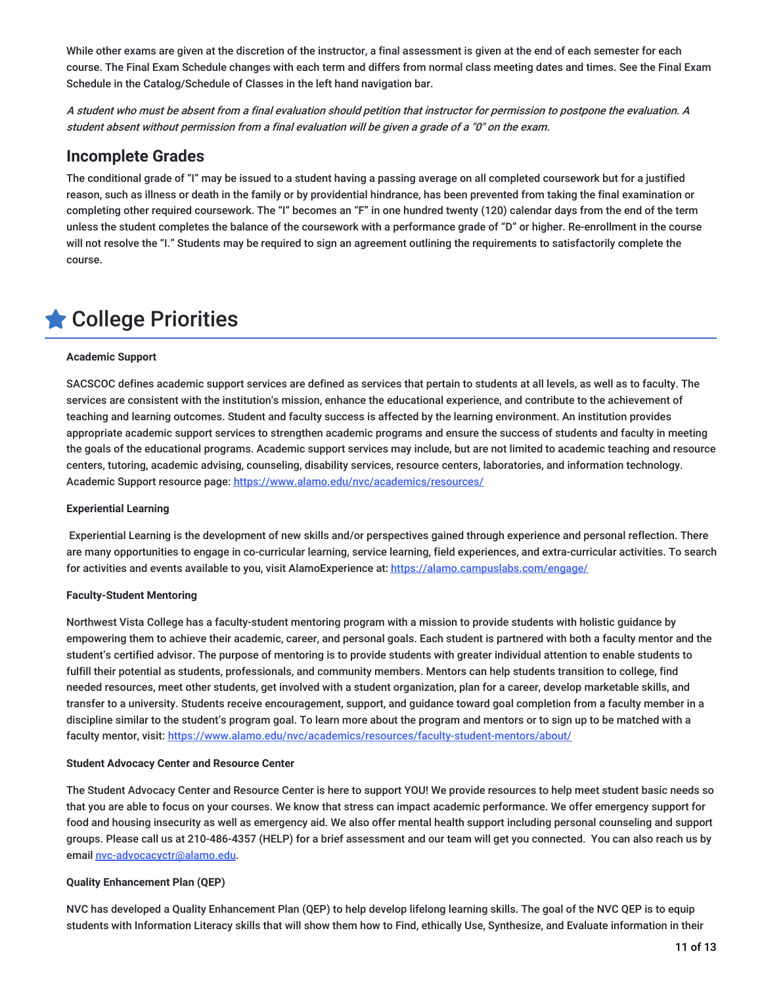While other exams are given at the discretion of the instructor, a final assessment is given at the end of each semester for each course. The Final Exam Schedule changes with each term and differs from normal class meeting dates and times. See the Final Exam Schedule in the Catalog/Schedule of Classes in the left hand navigation bar.

A student who must be absent from <sup>a</sup> final evaluation should petition that instructor for permission to postpone the evaluation. A student absent without permission from <sup>a</sup> final evaluation will be given <sup>a</sup> grade of <sup>a</sup> "0" on the exam.

### **Incomplete Grades**

The conditional grade of "I" may be issued to a student having a passing average on all completed coursework but for a justified reason, such as illness or death in the family or by providential hindrance, has been prevented from taking the final examination or completing other required coursework. The "I" becomes an "F" in one hundred twenty (120) calendar days from the end of the term unless the student completes the balance of the coursework with a performance grade of "D" or higher. Re-enrollment in the course will not resolve the "I." Students may be required to sign an agreement outlining the requirements to satisfactorily complete the course.

## College Priorities

### **Academic Support**

SACSCOC defines academic support services are defined as services that pertain to students at all levels, as well as to faculty. The services are consistent with the institution's mission, enhance the educational experience, and contribute to the achievement of teaching and learning outcomes. Student and faculty success is affected by the learning environment. An institution provides appropriate academic support services to strengthen academic programs and ensure the success of students and faculty in meeting the goals of the educational programs. Academic support services may include, but are not limited to academic teaching and resource centers, tutoring, academic advising, counseling, disability services, resource centers, laboratories, and information technology. Academic Support resource page: <https://www.alamo.edu/nvc/academics/resources/>

### **Experiential Learning**

Experiential Learning is the development of new skills and/or perspectives gained through experience and personal reflection. There are many opportunities to engage in co-curricular learning, service learning, field experiences, and extra-curricular activities. To search for activities and events available to you, visit AlamoExperience at: <https://alamo.campuslabs.com/engage/>

### **Faculty-Student Mentoring**

Northwest Vista College has a faculty-student mentoring program with a mission to provide students with holistic guidance by empowering them to achieve their academic, career, and personal goals. Each student is partnered with both a faculty mentor and the student's certified advisor. The purpose of mentoring is to provide students with greater individual attention to enable students to fulfill their potential as students, professionals, and community members. Mentors can help students transition to college, find needed resources, meet other students, get involved with a student organization, plan for a career, develop marketable skills, and transfer to a university. Students receive encouragement, support, and guidance toward goal completion from a faculty member in a discipline similar to the student's program goal. To learn more about the program and mentors or to sign up to be matched with a faculty mentor, visit: <https://www.alamo.edu/nvc/academics/resources/faculty-student-mentors/about/>

### **Student Advocacy Center and Resource Center**

The Student Advocacy Center and Resource Center is here to support YOU! We provide resources to help meet student basic needs so that you are able to focus on your courses. We know that stress can impact academic performance. We offer emergency support for food and housing insecurity as well as emergency aid. We also offer mental health support including personal counseling and support groups. Please call us at 210-486-4357 (HELP) for a brief assessment and our team will get you connected. You can also reach us by email [nvc-advocacyctr@alamo.edu](mailto:nvc-advocacyctr@alamo.edu).

### **Quality Enhancement Plan (QEP)**

NVC has developed a Quality Enhancement Plan (QEP) to help develop lifelong learning skills. The goal of the NVC QEP is to equip students with Information Literacy skills that will show them how to Find, ethically Use, Synthesize, and Evaluate information in their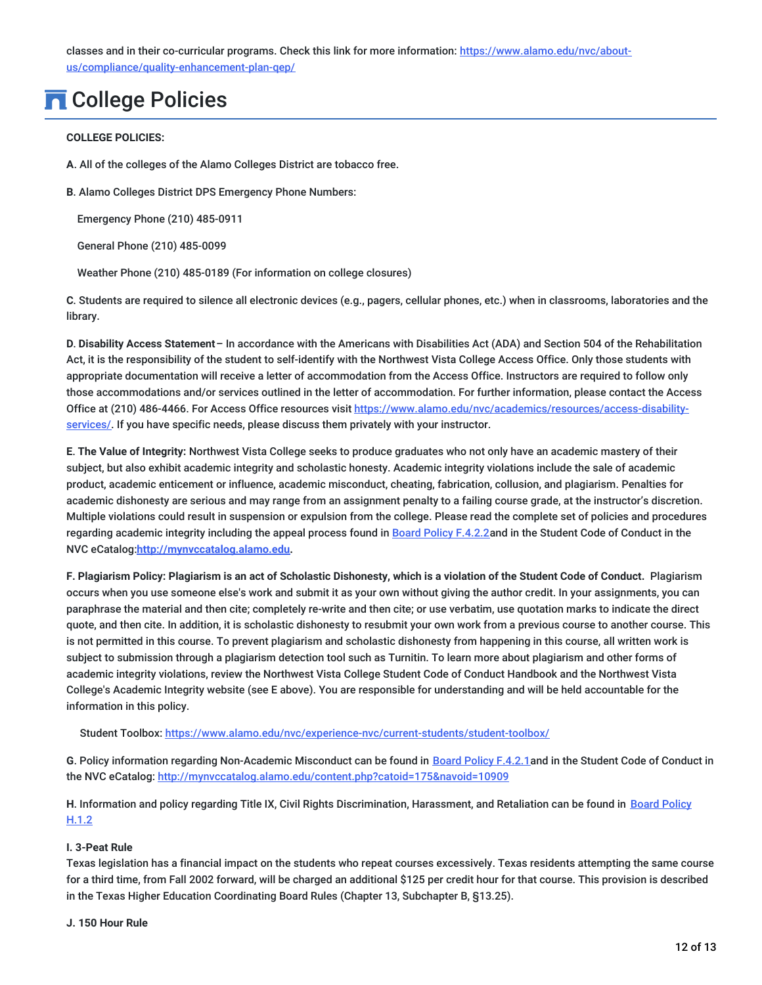classes and in their co-curricular programs. Check this link for more information: https://www.alamo.edu/nvc/about[us/compliance/quality-enhancement-plan-qep/](https://www.alamo.edu/nvc/about-us/compliance/quality-enhancement-plan-qep/)

## **n** College Policies

### **COLLEGE POLICIES:**

**A**. All of the colleges of the Alamo Colleges District are tobacco free.

**B**. Alamo Colleges District DPS Emergency Phone Numbers:

Emergency Phone (210) 485-0911

General Phone (210) 485-0099

Weather Phone (210) 485-0189 (For information on college closures)

**C**. Students are required to silence all electronic devices (e.g., pagers, cellular phones, etc.) when in classrooms, laboratories and the library.

**D**. **Disability Access Statement**– In accordance with the Americans with Disabilities Act (ADA) and Section 504 of the Rehabilitation Act, it is the responsibility of the student to self-identify with the Northwest Vista College Access Office. Only those students with appropriate documentation will receive a letter of accommodation from the Access Office. Instructors are required to follow only those accommodations and/or services outlined in the letter of accommodation. For further information, please contact the Access Office at (210) 486-4466. For Access Office resources visit [https://www.alamo.edu/nvc/academics/resources/access-disability](https://www.alamo.edu/nvc/academics/resources/access-disability-services/)services/. If you have specific needs, please discuss them privately with your instructor.

**E**. **The Value of Integrity:** Northwest Vista College seeks to produce graduates who not only have an academic mastery of their subject, but also exhibit academic integrity and scholastic honesty. Academic integrity violations include the sale of academic product, academic enticement or influence, academic misconduct, cheating, fabrication, collusion, and plagiarism. Penalties for academic dishonesty are serious and may range from an assignment penalty to a failing course grade, at the instructor's discretion. Multiple violations could result in suspension or expulsion from the college. Please read the complete set of policies and procedures regarding academic integrity including the appeal process found in Board Policy [F.4.2.2](https://www.alamo.edu/siteassets/district/about-us/leadership/board-of-trustees/policies-pdfs/section-f/f.4.2.2-procedure.pdf)and in the Student Code of Conduct in the NVC eCatalog:**[http://mynvccatalog.alamo.edu](http://mynvccatalog.alamo.edu/).**

F. Plagiarism Policy: Plagiarism is an act of Scholastic Dishonesty, which is a violation of the Student Code of Conduct. Plagiarism occurs when you use someone else's work and submit it as your own without giving the author credit. In your assignments, you can paraphrase the material and then cite; completely re-write and then cite; or use verbatim, use quotation marks to indicate the direct quote, and then cite. In addition, it is scholastic dishonesty to resubmit your own work from a previous course to another course. This is not permitted in this course. To prevent plagiarism and scholastic dishonesty from happening in this course, all written work is subject to submission through a plagiarism detection tool such as Turnitin. To learn more about plagiarism and other forms of academic integrity violations, review the Northwest Vista College Student Code of Conduct Handbook and the Northwest Vista College's Academic Integrity website (see E above). You are responsible for understanding and will be held accountable for the information in this policy.

Student Toolbox: <https://www.alamo.edu/nvc/experience-nvc/current-students/student-toolbox/>

**G**. Policy information regarding Non-Academic Misconduct can be found in Board Policy [F.4.2.1](https://www.alamo.edu/siteassets/district/about-us/leadership/board-of-trustees/policies-pdfs/section-f/f.4.2.1-procedure.pdf)and in the Student Code of Conduct in the NVC eCatalog: <http://mynvccatalog.alamo.edu/content.php?catoid=175&navoid=10909>

**H**. Information and policy regarding Title IX, Civil Rights [Discrimination,](https://www.alamo.edu/siteassets/district/about-us/leadership/board-of-trustees/policies-pdfs/section-h/h.1.2-policy.pdf) Harassment, and Retaliation can be found in Board Policy H.1.2

### **I. 3-Peat Rule**

Texas legislation has a financial impact on the students who repeat courses excessively. Texas residents attempting the same course for a third time, from Fall 2002 forward, will be charged an additional \$125 per credit hour for that course. This provision is described in the Texas Higher Education Coordinating Board Rules (Chapter 13, Subchapter B, §13.25).

### **J. 150 Hour Rule**